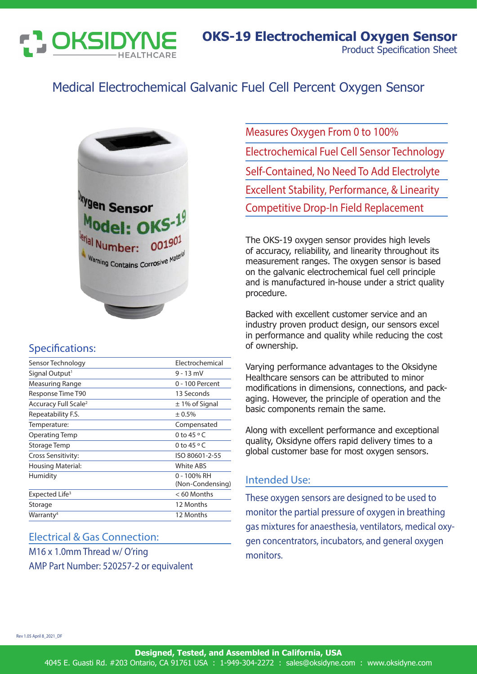

# Medical Electrochemical Galvanic Fuel Cell Percent Oxygen Sensor



# Specifications:

| Sensor Technology                | Electrochemical                 |
|----------------------------------|---------------------------------|
| Signal Output <sup>1</sup>       | $9 - 13$ mV                     |
| <b>Measuring Range</b>           | 0 - 100 Percent                 |
| Response Time T90                | 13 Seconds                      |
| Accuracy Full Scale <sup>2</sup> | $\pm$ 1% of Signal              |
| Repeatability F.S.               | ± 0.5%                          |
| Temperature:                     | Compensated                     |
| Operating Temp                   | 0 to 45 $\circ$ C               |
| Storage Temp                     | 0 to 45 $\circ$ C               |
| Cross Sensitivity:               | ISO 80601-2-55                  |
| Housing Material:                | <b>White ABS</b>                |
| Humidity                         | 0 - 100% RH<br>(Non-Condensing) |
| Expected Life <sup>3</sup>       | $< 60$ Months                   |
| Storage                          | 12 Months                       |
| Warranty <sup>4</sup>            | 12 Months                       |
|                                  |                                 |

### Electrical & Gas Connection:

M16 x 1.0mm Thread w/ O'ring AMP Part Number: 520257-2 or equivalent Measures Oxygen From 0 to 100% Electrochemical Fuel Cell Sensor Technology Self-Contained, No Need To Add Electrolyte Excellent Stability, Performance, & Linearity Competitive Drop-In Field Replacement

The OKS-19 oxygen sensor provides high levels of accuracy, reliability, and linearity throughout its measurement ranges. The oxygen sensor is based on the galvanic electrochemical fuel cell principle and is manufactured in-house under a strict quality procedure.

Backed with excellent customer service and an industry proven product design, our sensors excel in performance and quality while reducing the cost of ownership.

Varying performance advantages to the Oksidyne Healthcare sensors can be attributed to minor modifications in dimensions, connections, and packaging. However, the principle of operation and the basic components remain the same.

Along with excellent performance and exceptional quality, Oksidyne offers rapid delivery times to a global customer base for most oxygen sensors.

### Intended Use:

These oxygen sensors are designed to be used to monitor the partial pressure of oxygen in breathing gas mixtures for anaesthesia, ventilators, medical oxygen concentrators, incubators, and general oxygen monitors.

Rev 1.05 April 8\_2021\_DF